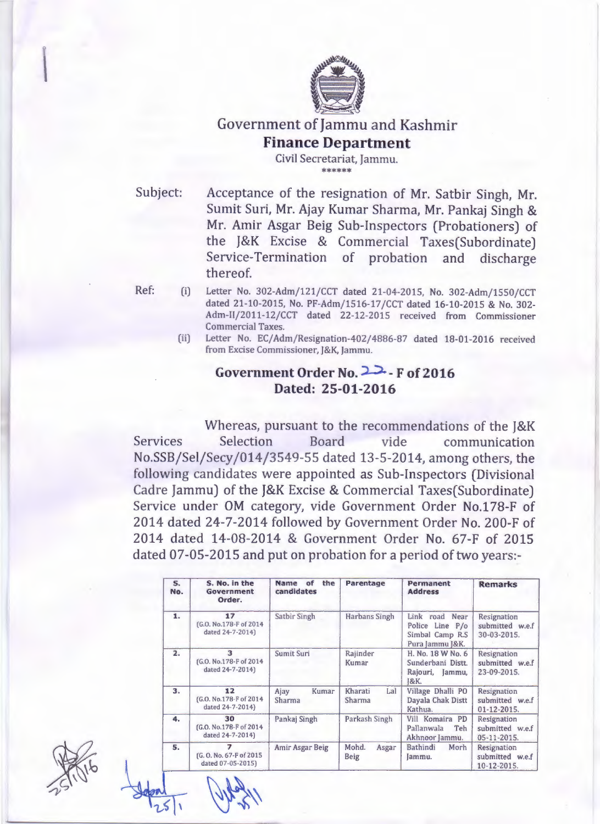

# Government of Jammu and Kashmir **Finance Department**

Civil Secretariat, Jammu. \*\*\*\*\*\*

Subject: Acceptance of the resignation of Mr. Satbir Singh, Mr. Sumit Suri, Mr. Ajay Kumar Sharma, Mr. Pankaj Singh & Mr. Amir Asgar Beig Sub-Inspectors (Probationers) of the J&K Excise & Commercial Taxes(Subordinate) Service-Termination of probation and discharge thereof.

Ref: (i) Letter No. 302-Adm/121/CCT dated 21-04-2015, No. 302-Adm/1550/CCT dated 21-10-2015, No. PF-Adm/1516-17 /CCT dated 16-10-2015 & No. 302- Adm-IJ/2011-12/CCT dated 22-12-2015 received from Commissioner Commercial Taxes.

(ii) Letter No. EC/Adm/Resignation-402/4886-87 dated 18-01-2016 received from Excise Commissioner, ]&K, }ammu.

## **Government Order No. 22. F of 2016 Dated: 25-01-2016**

Whereas, pursuant to the recommendations of the J&K Services Selection Board vide communication No.SSB/Sel/Secy/014/3549-55 dated 13-5-2014, among others, the following candidates were appointed as Sub-Inspectors (Divisional Cadre Jammu) of the J&K Excise & Commercial Taxes(Subordinate) Service under OM category, vide Government Order No.178-F of 2014 dated 24-7-2014 followed by Government Order No. 200-F of 2014 dated 14-08-2014 & Government Order No. 67-F of 2015 dated 07-05-2015 and put on probation for a period of two years:-

| S.<br>No. | S. No. in the<br><b>Government</b><br>Order.                             | the<br>Name<br>of<br>candidates | Parentage                     | Permanent<br><b>Address</b>                                             | <b>Remarks</b>                                |
|-----------|--------------------------------------------------------------------------|---------------------------------|-------------------------------|-------------------------------------------------------------------------|-----------------------------------------------|
| 1.        | 17<br>[G.O. No.178-F of 2014<br>dated 24-7-2014)                         | Satbir Singh                    | Harbans Singh                 | Link road Near<br>Police Line P/o<br>Simbal Camp R.S<br>Pura Jammu J&K. | Resignation<br>submitted w.e.f<br>30-03-2015. |
| 2.        | 3<br>(G.O. No.178-F of 2014)<br>dated 24-7-2014)                         | Sumit Suri                      | Rajinder<br>Kumar             | H. No. 18 W No. 6<br>Sunderbani Distt.<br>Rajouri, Jammu,<br>1&K.       | Resignation<br>submitted w.e.f<br>23-09-2015. |
| 3.        | 12<br>(G.O. No.178-F of 2014)<br>dated 24-7-2014)                        | Ajay<br>Kumar<br>Sharma         | Kharati<br>Lal<br>Sharma      | Village Dhalli PO<br>Dayala Chak Distt<br>Kathua.                       | Resignation<br>submitted w.e.f<br>01-12-2015. |
| 4.        | 30<br>(G.O. No.178-F of 2014)<br>dated 24-7-2014)                        | Pankaj Singh                    | Parkash Singh                 | Vill Komaira PD<br>Pallanwala<br>Teh<br>Akhnoor Jammu.                  | Resignation<br>submitted w.e.f<br>05-11-2015. |
| 5.        | $\overline{\phantom{a}}$<br>[G. O. No. 67-F of 2015<br>dated 07-05-2015) | Amir Asgar Beig                 | Mohd.<br>Asgar<br><b>Beig</b> | Bathindi<br>Morh<br>ammu.                                               | Resignation<br>submitted w.e.f<br>10-12-2015. |



 $\mathbf{A}$  $rac{1}{251}$   $\frac{110^{241}}{15}$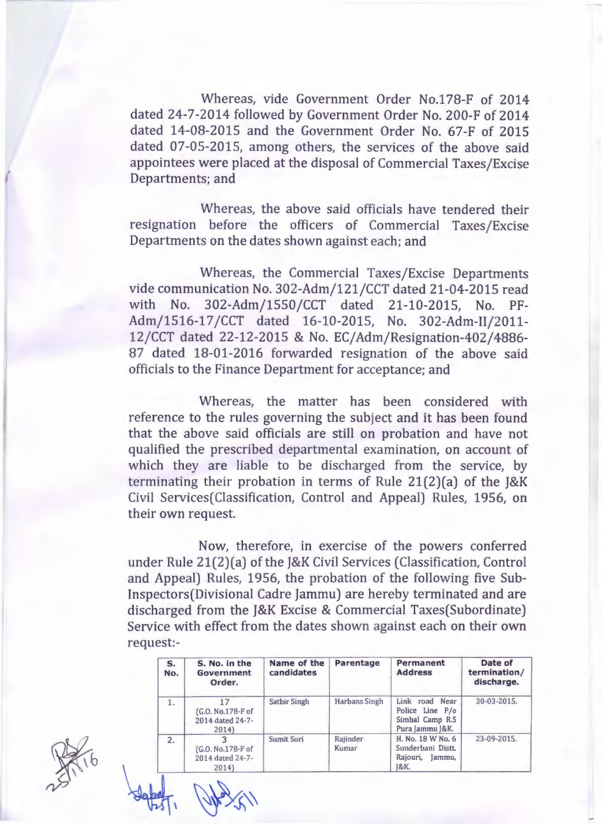Whereas, vide Government Order No.178-F of 2014 dated 24-7-2014 followed by Government Order No. 200-F of 2014 dated 14-08-2015 and the Government Order No. 67-F of 2015 dated 07-05-2015, among others, the services of the above said appointees were placed at the disposal of Commercial Taxes/Excise Departments; and

Whereas, the above said officials have tendered their resignation before the officers of Commercial Taxes/Excise Departments on the dates shown against each; and

Whereas, the Commercial Taxes/Excise Departments vide communication No. 302-Adm/121/CCT dated 21-04-2015 read with No. 302-Adm/1550/CCT dated 21-10-2015, No. PF-Adm/1516-17 /CCT dated 16-10-2015, No. 302-Adm-11/2011- 12/CCT dated 22-12-2015 & No. EC/Adm/Resignation-402/4886- 87 dated 18-01-2016 forwarded resignation of the above said officials to the Finance Department for acceptance; and

Whereas, the matter has been considered with reference to the rules governing the subject and it has been found that the above said officials are still on probation and have not qualified the prescribed departmental examination, on account of which they are liable to be discharged from the service, by terminating their probation in terms of Rule 21(2)(a) of the J&K Civil Services(Classification, Control and Appeal) Rules, 1956, on their own request.

Now, therefore, in exercise of the powers conferred under Rule 21(2)(a) of the J&K Civil Services (Classification, Control and Appeal) Rules, 1956, the probation of the following five Sublnspectors(Divisional Cadre Jammu) are hereby terminated and are discharged from the J&K Excise & Commercial Taxes(Subordinate) Service with effect from the dates shown against each on their own request:-

| S.<br>No. | S. No. in the<br>Government<br>Order.                | Name of the<br>candidates | Parentage            | Permanent<br><b>Address</b>                                             | Date of<br>termination/<br>discharge. |
|-----------|------------------------------------------------------|---------------------------|----------------------|-------------------------------------------------------------------------|---------------------------------------|
| 1.        | 17<br>(G.O. No.178-F of<br>2014 dated 24-7-<br>2014) | <b>Satbir Singh</b>       | <b>Harbans Singh</b> | Link road Near<br>Police Line P/o<br>Simbal Camp R.S<br>Pura Jammu J&K. | 30-03-2015.                           |
| 2.        | [G.O. No.178-F of<br>2014 dated 24-7-<br>2014        | Sumit Suri                | Rajinder<br>Kumar    | H. No. 18 W No. 6<br>Sunderbani Distt.<br>Rajouri,<br>Jammu.<br>1&K.    | 23-09-2015.                           |